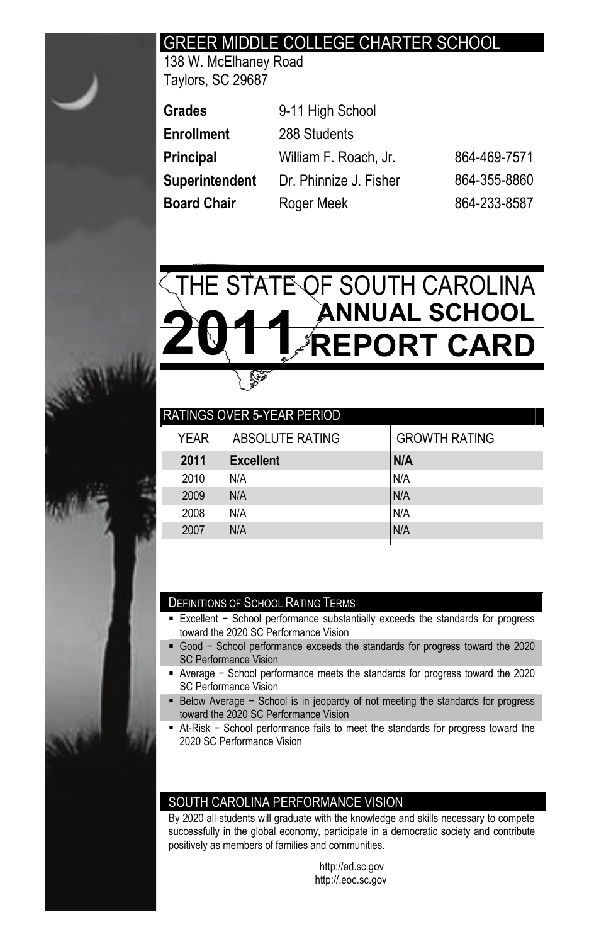# GREER MIDDLE COLLEGE CHARTER SCHOOL

138 W. McElhaney Road Taylors, SC 29687

| Grades         | 9-11 High School       |              |
|----------------|------------------------|--------------|
| Enrollment     | 288 Students           |              |
| Principal      | William F. Roach, Jr.  | 864-469-7571 |
| Superintendent | Dr. Phinnize J. Fisher | 864-355-8860 |
| Board Chair    | Roger Meek             | 864-233-8587 |



| <b>RATINGS OVER 5-YEAR PERIOD</b> |      |                  |                      |  |  |  |  |
|-----------------------------------|------|------------------|----------------------|--|--|--|--|
|                                   | YFAR | ABSOLUTE RATING  | <b>GROWTH RATING</b> |  |  |  |  |
|                                   | 2011 | <b>Excellent</b> | N/A                  |  |  |  |  |
|                                   | 2010 | N/A              | N/A                  |  |  |  |  |
|                                   | 2009 | N/A              | N/A                  |  |  |  |  |
|                                   | 2008 | N/A              | N/A                  |  |  |  |  |
|                                   | 2007 | N/A              | N/A                  |  |  |  |  |
|                                   |      |                  |                      |  |  |  |  |

#### DEFINITIONS OF SCHOOL RATING TERMS

- Excellent School performance substantially exceeds the standards for progress toward the 2020 SC Performance Vision
- Good School performance exceeds the standards for progress toward the 2020 SC Performance Vision
- Average School performance meets the standards for progress toward the 2020 SC Performance Vision
- Below Average School is in jeopardy of not meeting the standards for progress toward the 2020 SC Performance Vision
- At-Risk School performance fails to meet the standards for progress toward the 2020 SC Performance Vision

#### SOUTH CAROLINA PERFORMANCE VISION

By 2020 all students will graduate with the knowledge and skills necessary to compete successfully in the global economy, participate in a democratic society and contribute positively as members of families and communities.

> http://ed.sc.gov http://.eoc.sc.gov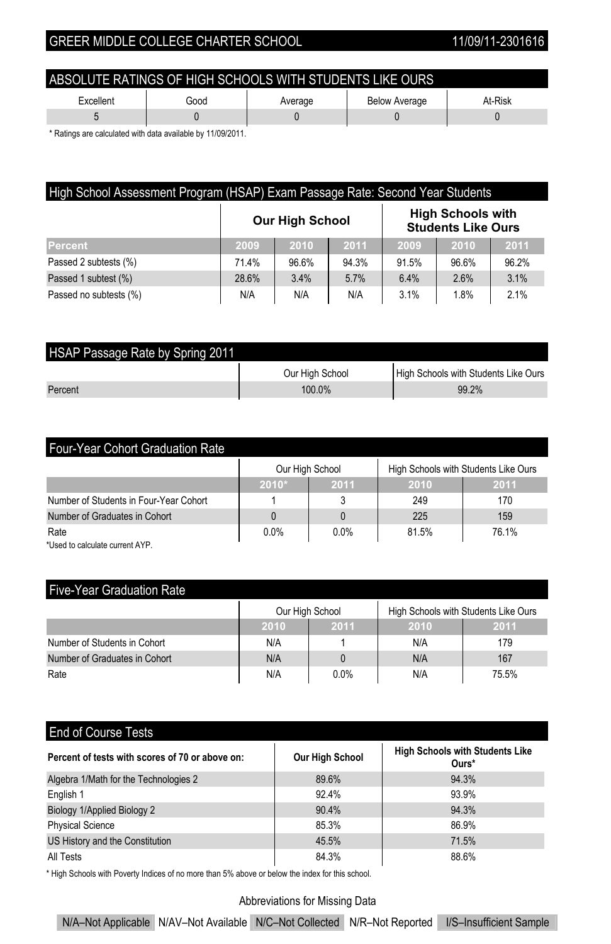| ABSOLUTE RATINGS OF HIGH SCHOOLS WITH STUDENTS LIKE OURS        |  |  |  |  |  |  |
|-----------------------------------------------------------------|--|--|--|--|--|--|
| At-Risk<br>Excellent<br><b>Below Average</b><br>Good<br>Average |  |  |  |  |  |  |
|                                                                 |  |  |  |  |  |  |

\* Ratings are calculated with data available by 11/09/2011.

| High School Assessment Program (HSAP) Exam Passage Rate: Second Year Students   |       |       |       |       |       |       |  |
|---------------------------------------------------------------------------------|-------|-------|-------|-------|-------|-------|--|
| <b>High Schools with</b><br><b>Our High School</b><br><b>Students Like Ours</b> |       |       |       |       |       |       |  |
| Percent                                                                         | 2009  | 2010  | 2011  | 2009  | 2010  | 2011  |  |
| Passed 2 subtests (%)                                                           | 71.4% | 96.6% | 94.3% | 91.5% | 96.6% | 96.2% |  |
| Passed 1 subtest (%)                                                            | 28.6% | 3.4%  | 5.7%  | 6.4%  | 2.6%  | 3.1%  |  |
| Passed no subtests (%)                                                          | N/A   | N/A   | N/A   | 3.1%  | 1.8%  | 2.1%  |  |

| HSAP Passage Rate by Spring 2011 |                 |                                      |  |  |  |  |  |
|----------------------------------|-----------------|--------------------------------------|--|--|--|--|--|
|                                  | Our High School | High Schools with Students Like Ours |  |  |  |  |  |
| Percent                          | $100.0\%$       | 99.2%                                |  |  |  |  |  |

| <b>Four-Year Cohort Graduation Rate</b> |         |                 |       |                                      |  |  |  |
|-----------------------------------------|---------|-----------------|-------|--------------------------------------|--|--|--|
|                                         |         | Our High School |       | High Schools with Students Like Ours |  |  |  |
|                                         | $2010*$ | 2011            | 2010  | 2011                                 |  |  |  |
| Number of Students in Four-Year Cohort  |         |                 | 249   | 170                                  |  |  |  |
| Number of Graduates in Cohort           |         |                 | 225   | 159                                  |  |  |  |
| Rate                                    | 0.0%    | 0.0%            | 81.5% | 76.1%                                |  |  |  |
| * Jood to oplought aurrant AVD          |         |                 |       |                                      |  |  |  |

d to calculate current AYP.

## Five-Year Graduation Rate

|                               | Our High School |      | High Schools with Students Like Ours |       |
|-------------------------------|-----------------|------|--------------------------------------|-------|
|                               | 2011<br>2010    |      | 2010                                 | 2011  |
| Number of Students in Cohort  | N/A             |      | N/A                                  | 179   |
| Number of Graduates in Cohort | N/A             |      | N/A                                  | 167   |
| Rate                          | N/A             | 0.0% | N/A                                  | 75.5% |

## End of Course Tests

| Percent of tests with scores of 70 or above on: | <b>Our High School</b> | <b>High Schools with Students Like</b><br>Ours* |
|-------------------------------------------------|------------------------|-------------------------------------------------|
| Algebra 1/Math for the Technologies 2           | 89.6%                  | 94.3%                                           |
| English 1                                       | 92.4%                  | 93.9%                                           |
| Biology 1/Applied Biology 2                     | 90.4%                  | 94.3%                                           |
| <b>Physical Science</b>                         | 85.3%                  | 86.9%                                           |
| US History and the Constitution                 | 45.5%                  | 71.5%                                           |
| All Tests                                       | 84.3%                  | 88.6%                                           |

\* High Schools with Poverty Indices of no more than 5% above or below the index for this school.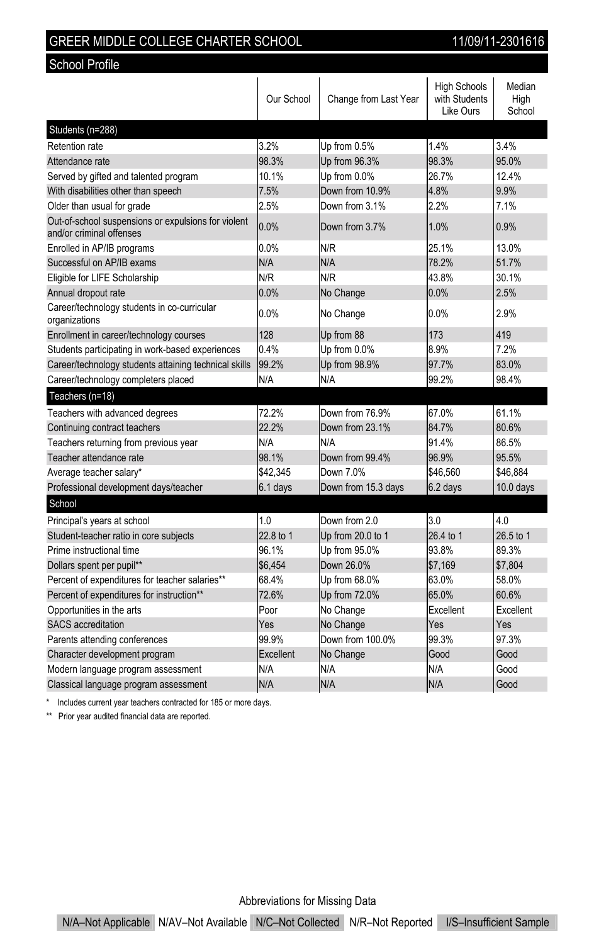| GREER MIDDLE COLLEGE CHARTER SCHOOL |  |  |
|-------------------------------------|--|--|
|                                     |  |  |

School Profile

11/09/11-2301616

|                                                                                 | Our School | Change from Last Year | <b>High Schools</b><br>with Students<br>Like Ours | Median<br>High<br>School |
|---------------------------------------------------------------------------------|------------|-----------------------|---------------------------------------------------|--------------------------|
| Students (n=288)                                                                |            |                       |                                                   |                          |
| Retention rate                                                                  | 3.2%       | Up from 0.5%          | 14%                                               | 34%                      |
| Attendance rate                                                                 | 98.3%      | Up from 96.3%         | 98.3%                                             | 95.0%                    |
| Served by gifted and talented program                                           | 10.1%      | Up from 0.0%          | 26.7%                                             | 12 4%                    |
| With disabilities other than speech                                             | 7.5%       | Down from 10.9%       | 4.8%                                              | 9.9%                     |
| Older than usual for grade                                                      | 2.5%       | Down from 3.1%        | 2.2%                                              | 7.1%                     |
| Out-of-school suspensions or expulsions for violent<br>and/or criminal offenses | 0.0%       | Down from 3.7%        | 1.0%                                              | 0.9%                     |
| Enrolled in AP/IB programs                                                      | 0.0%       | N/R                   | 25.1%                                             | 13.0%                    |
| Successful on AP/IB exams                                                       | N/A        | N/A                   | 78.2%                                             | 51.7%                    |
| Eligible for LIFE Scholarship                                                   | N/R        | N/R                   | 43.8%                                             | 30.1%                    |
| Annual dropout rate                                                             | 0.0%       | No Change             | 0.0%                                              | 2.5%                     |
| Career/technology students in co-curricular<br>organizations                    | 0.0%       | No Change             | $0.0\%$                                           | 2.9%                     |
| Enrollment in career/technology courses                                         | 128        | Up from 88            | 173                                               | 419                      |
| Students participating in work-based experiences                                | 0.4%       | Up from 0.0%          | 8.9%                                              | 7.2%                     |
| Career/technology students attaining technical skills                           | 99.2%      | Up from 98.9%         | 97.7%                                             | 83.0%                    |
| Career/technology completers placed                                             | N/A        | N/A                   | 99.2%                                             | 98.4%                    |
| Teachers (n=18)                                                                 |            |                       |                                                   |                          |
| Teachers with advanced degrees                                                  | 72.2%      | Down from 76.9%       | 67.0%                                             | 61.1%                    |
| Continuing contract teachers                                                    | 22.2%      | Down from 23.1%       | 84.7%                                             | 80.6%                    |
| Teachers returning from previous year                                           | N/A        | N/A                   | 91.4%                                             | 86.5%                    |
| Teacher attendance rate                                                         | 98.1%      | Down from 99.4%       | 96.9%                                             | 95.5%                    |
| Average teacher salary*                                                         | \$42.345   | Down 7.0%             | \$46.560                                          | \$46.884                 |
| Professional development days/teacher                                           | 6.1 days   | Down from 15.3 days   | $6.2$ days                                        | $10.0$ days              |
| School                                                                          |            |                       |                                                   |                          |
| Principal's years at school                                                     | 1.0        | Down from 20          | 3.0                                               | 40                       |
| Student-teacher ratio in core subjects                                          | 22.8 to 1  | Up from 20.0 to 1     | 26.4 to 1                                         | 26.5 to 1                |
| Prime instructional time                                                        | 96.1%      | Up from 95.0%         | 93.8%                                             | 89.3%                    |
| Dollars spent per pupil**                                                       | \$6,454    | Down 26.0%            | \$7,169                                           | \$7,804                  |
| Percent of expenditures for teacher salaries**                                  | 68.4%      | Up from 68.0%         | 63.0%                                             | 58.0%                    |
| Percent of expenditures for instruction**                                       | 72.6%      | Up from 72.0%         | 65.0%                                             | 60.6%                    |
| Opportunities in the arts                                                       | Poor       | No Change             | Excellent                                         | Excellent                |
| <b>SACS</b> accreditation                                                       | Yes        | No Change             | Yes                                               | Yes                      |
| Parents attending conferences                                                   | 99.9%      | Down from 100.0%      | 99.3%                                             | 97.3%                    |
| Character development program                                                   | Excellent  | No Change             | Good                                              | Good                     |
| Modern language program assessment                                              | N/A        | N/A                   | N/A                                               | Good                     |
| Classical language program assessment                                           | N/A        | N/A                   | N/A                                               | Good                     |

\* Includes current year teachers contracted for 185 or more days.

\*\* Prior year audited financial data are reported.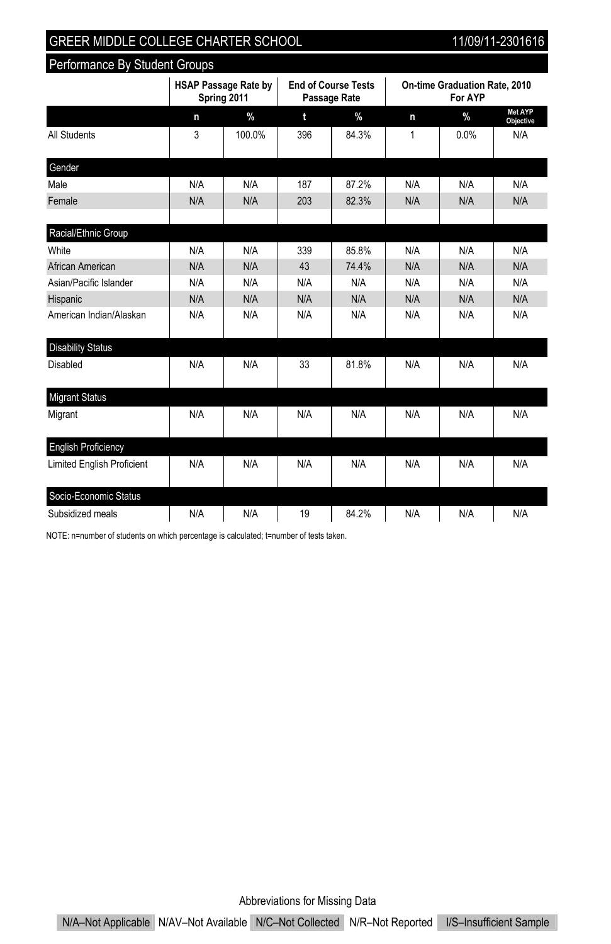Performance By Student Groups

|                                   |     | <b>HSAP Passage Rate by</b><br>Spring 2011 | <b>End of Course Tests</b><br>Passage Rate |       |     | On-time Graduation Rate, 2010<br>For AYP |                             |
|-----------------------------------|-----|--------------------------------------------|--------------------------------------------|-------|-----|------------------------------------------|-----------------------------|
|                                   | n   | $\%$                                       | t                                          | $\%$  | n   | $\%$                                     | Met AYP<br><b>Objective</b> |
| All Students                      | 3   | 100.0%                                     | 396                                        | 84.3% | 1   | 0.0%                                     | N/A                         |
| Gender                            |     |                                            |                                            |       |     |                                          |                             |
| Male                              | N/A | N/A                                        | 187                                        | 87.2% | N/A | N/A                                      | N/A                         |
| Female                            | N/A | N/A                                        | 203                                        | 82.3% | N/A | N/A                                      | N/A                         |
| Racial/Ethnic Group               |     |                                            |                                            |       |     |                                          |                             |
| White                             | N/A | N/A                                        | 339                                        | 85.8% | N/A | N/A                                      | N/A                         |
| African American                  | N/A | N/A                                        | 43                                         | 74.4% | N/A | N/A                                      | N/A                         |
| Asian/Pacific Islander            | N/A | N/A                                        | N/A                                        | N/A   | N/A | N/A                                      | N/A                         |
| Hispanic                          | N/A | N/A                                        | N/A                                        | N/A   | N/A | N/A                                      | N/A                         |
| American Indian/Alaskan           | N/A | N/A                                        | N/A                                        | N/A   | N/A | N/A                                      | N/A                         |
| <b>Disability Status</b>          |     |                                            |                                            |       |     |                                          |                             |
| <b>Disabled</b>                   | N/A | N/A                                        | 33                                         | 81.8% | N/A | N/A                                      | N/A                         |
| <b>Migrant Status</b>             |     |                                            |                                            |       |     |                                          |                             |
| Migrant                           | N/A | N/A                                        | N/A                                        | N/A   | N/A | N/A                                      | N/A                         |
| <b>English Proficiency</b>        |     |                                            |                                            |       |     |                                          |                             |
| <b>Limited English Proficient</b> | N/A | N/A                                        | N/A                                        | N/A   | N/A | N/A                                      | N/A                         |
| Socio-Economic Status             |     |                                            |                                            |       |     |                                          |                             |
| Subsidized meals                  | N/A | N/A                                        | 19                                         | 84.2% | N/A | N/A                                      | N/A                         |

NOTE: n=number of students on which percentage is calculated; t=number of tests taken.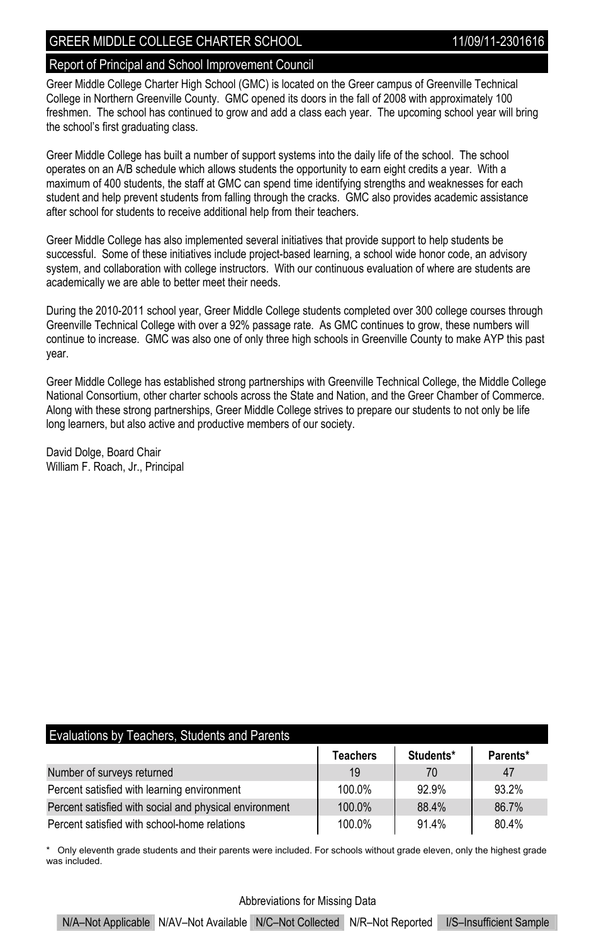#### Report of Principal and School Improvement Council

Greer Middle College Charter High School (GMC) is located on the Greer campus of Greenville Technical College in Northern Greenville County. GMC opened its doors in the fall of 2008 with approximately 100 freshmen. The school has continued to grow and add a class each year. The upcoming school year will bring the school's first graduating class.

Greer Middle College has built a number of support systems into the daily life of the school. The school operates on an A/B schedule which allows students the opportunity to earn eight credits a year. With a maximum of 400 students, the staff at GMC can spend time identifying strengths and weaknesses for each student and help prevent students from falling through the cracks. GMC also provides academic assistance after school for students to receive additional help from their teachers.

Greer Middle College has also implemented several initiatives that provide support to help students be successful. Some of these initiatives include project-based learning, a school wide honor code, an advisory system, and collaboration with college instructors. With our continuous evaluation of where are students are academically we are able to better meet their needs.

During the 2010-2011 school year, Greer Middle College students completed over 300 college courses through Greenville Technical College with over a 92% passage rate. As GMC continues to grow, these numbers will continue to increase. GMC was also one of only three high schools in Greenville County to make AYP this past year.

Greer Middle College has established strong partnerships with Greenville Technical College, the Middle College National Consortium, other charter schools across the State and Nation, and the Greer Chamber of Commerce. Along with these strong partnerships, Greer Middle College strives to prepare our students to not only be life long learners, but also active and productive members of our society.

David Dolge, Board Chair William F. Roach, Jr., Principal

| Evaluations by Teachers, Students and Parents          |                 |           |          |  |  |  |  |
|--------------------------------------------------------|-----------------|-----------|----------|--|--|--|--|
|                                                        | <b>Teachers</b> | Students* | Parents* |  |  |  |  |
| Number of surveys returned                             | 19              | 70        | 47       |  |  |  |  |
| Percent satisfied with learning environment            | 100.0%          | 92.9%     | 932%     |  |  |  |  |
| Percent satisfied with social and physical environment | 100.0%          | 88.4%     | 86.7%    |  |  |  |  |
| Percent satisfied with school-home relations           | 100.0%          | 91.4%     | 80.4%    |  |  |  |  |

\* Only eleventh grade students and their parents were included. For schools without grade eleven, only the highest grade was included.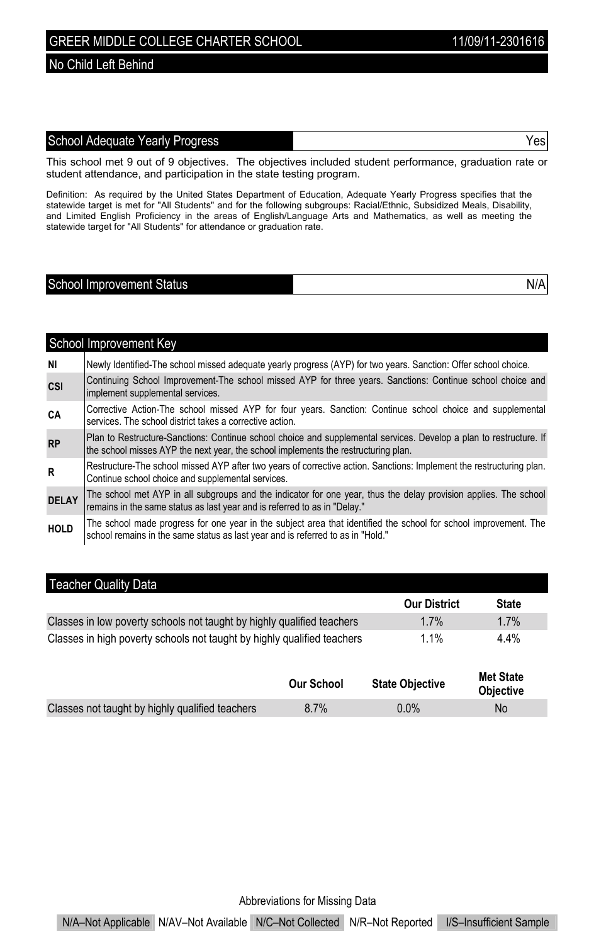#### No Child Left Behind

### School Adequate Yearly Progress The Contract of the School Adequate Yes

This school met 9 out of 9 objectives. The objectives included student performance, graduation rate or student attendance, and participation in the state testing program.

Definition: As required by the United States Department of Education, Adequate Yearly Progress specifies that the<br>statewide target is met for "All Students" and for the following subgroups: Racial/Ethnic, Subsidized Meals, and Limited English Proficiency in the areas of English/Language Arts and Mathematics, as well as meeting the statewide target for "All Students" for attendance or graduation rate.

# School Improvement Status N/A

|              | School Improvement Key                                                                                                                                                                                   |
|--------------|----------------------------------------------------------------------------------------------------------------------------------------------------------------------------------------------------------|
| NI           | Newly Identified-The school missed adequate yearly progress (AYP) for two years. Sanction: Offer school choice.                                                                                          |
| CSI          | Continuing School Improvement-The school missed AYP for three years. Sanctions: Continue school choice and<br>implement supplemental services.                                                           |
| СA           | Corrective Action-The school missed AYP for four years. Sanction: Continue school choice and supplemental<br>services. The school district takes a corrective action.                                    |
| <b>RP</b>    | Plan to Restructure-Sanctions: Continue school choice and supplemental services. Develop a plan to restructure. If<br>the school misses AYP the next year, the school implements the restructuring plan. |
| R.           | Restructure-The school missed AYP after two years of corrective action. Sanctions: Implement the restructuring plan.<br>Continue school choice and supplemental services.                                |
| <b>DELAY</b> | The school met AYP in all subgroups and the indicator for one year, thus the delay provision applies. The school<br>remains in the same status as last year and is referred to as in "Delay."            |
| <b>HOLD</b>  | The school made progress for one year in the subject area that identified the school for school improvement. The<br>school remains in the same status as last year and is referred to as in "Hold."      |

### Teacher Quality Data

|                                                                         | <b>Our District</b> | <b>State</b> |
|-------------------------------------------------------------------------|---------------------|--------------|
| Classes in low poverty schools not taught by highly qualified teachers  | $1.7\%$             | $1.7\%$      |
| Classes in high poverty schools not taught by highly qualified teachers | $1.1\%$             | $4.4\%$      |

|         | <b>Objective</b>                                    |
|---------|-----------------------------------------------------|
| $0.0\%$ | No                                                  |
|         | <b>State Objective</b><br><b>Our School</b><br>8.7% |

Abbreviations for Missing Data

N/A–Not Applicable N/AV–Not Available N/C–Not Collected N/R–Not Reported I/S–Insufficient Sample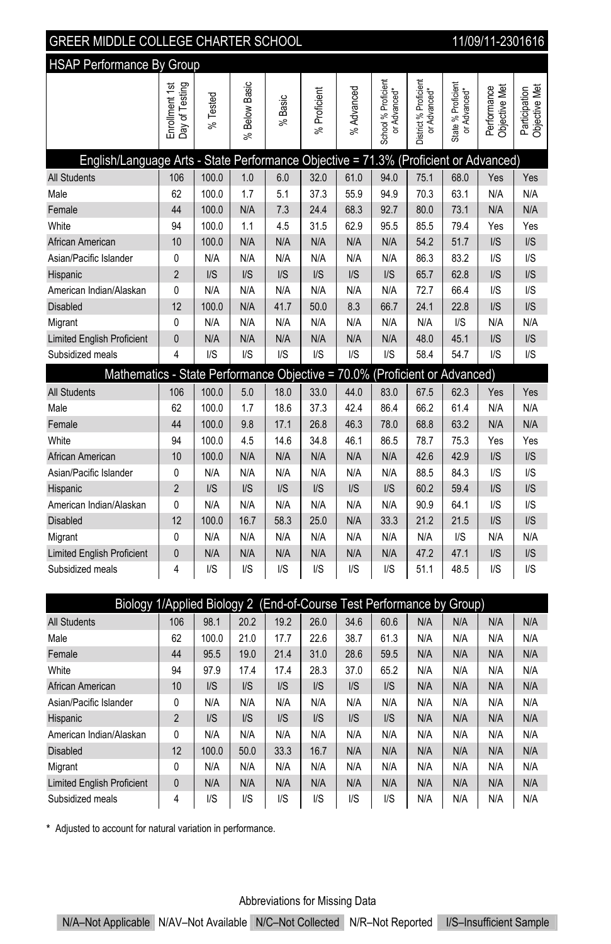| <u><u>.</u></u>                                                                      |                                  |                         |                         |                         |                                    |                         |                                     |                                       |                                    |                              |                                |
|--------------------------------------------------------------------------------------|----------------------------------|-------------------------|-------------------------|-------------------------|------------------------------------|-------------------------|-------------------------------------|---------------------------------------|------------------------------------|------------------------------|--------------------------------|
| <b>HSAP Performance By Group</b>                                                     |                                  |                         |                         |                         |                                    |                         |                                     |                                       |                                    |                              |                                |
|                                                                                      | Day of Testing<br>Enrollment 1st | % Tested                | Below Basic<br>వ్       | Basic<br>$\approx$      | % Proficient                       | % Advanced              | School % Proficient<br>or Advanced* | District % Proficient<br>or Advanced* | State % Proficient<br>or Advanced* | Performance<br>Objective Met | Objective Met<br>Participation |
| English/Language Arts - State Performance Objective = 71.3% (Proficient or Advanced) |                                  |                         |                         |                         |                                    |                         |                                     |                                       |                                    |                              |                                |
| <b>All Students</b>                                                                  | 106                              | 100.0                   | 1.0                     | 6.0                     | 32.0                               | 61.0                    | 94.0                                | 75.1                                  | 68.0                               | Yes                          | Yes                            |
| Male                                                                                 | 62                               | 100.0                   | 1.7                     | 5.1                     | 37.3                               | 55.9                    | 94.9                                | 70.3                                  | 63.1                               | N/A                          | N/A                            |
| Female                                                                               | 44                               | 100.0                   | N/A                     | 7.3                     | 24.4                               | 68.3                    | 92.7                                | 80.0                                  | 73.1                               | N/A                          | N/A                            |
| White                                                                                | 94                               | 100.0                   | 1.1                     | 4.5                     | 31.5                               | 62.9                    | 95.5                                | 85.5                                  | 79.4                               | Yes                          | Yes                            |
| African American                                                                     | 10                               | 100.0                   | N/A                     | N/A                     | N/A                                | N/A                     | N/A                                 | 54.2                                  | 51.7                               | I/S                          | $\mathsf{I} \mathsf{S}$        |
| Asian/Pacific Islander                                                               | 0                                | N/A                     | N/A                     | N/A                     | N/A                                | N/A                     | N/A                                 | 86.3                                  | 83.2                               | $\mathsf{I/S}$               | $\mathsf{I} \mathsf{S}$        |
| Hispanic                                                                             | $\overline{2}$                   | $\mathsf{I} \mathsf{S}$ | $\mathsf{I} \mathsf{S}$ | $\mathsf{I} \mathsf{S}$ | $\mathsf{I} \mathsf{S}$            | $\mathsf{I/S}$          | $\mathsf{I/S}$                      | 65.7                                  | 62.8                               | I/S                          | $\mathsf{I/S}$                 |
| American Indian/Alaskan                                                              | 0                                | N/A                     | N/A                     | N/A                     | N/A                                | N/A                     | N/A                                 | 72.7                                  | 66.4                               | $\mathsf{I/S}$               | $\mathsf{I/S}$                 |
| <b>Disabled</b>                                                                      | 12                               | 100.0                   | N/A                     | 41.7                    | 50.0                               | 8.3                     | 66.7                                | 24.1                                  | 22.8                               | I/S                          | $\mathsf{I/S}$                 |
| Migrant                                                                              | $\mathbf{0}$                     | N/A                     | N/A                     | N/A                     | N/A                                | N/A                     | N/A                                 | N/A                                   | I/S                                | N/A                          | N/A                            |
| <b>Limited English Proficient</b>                                                    | $\overline{0}$                   | N/A                     | N/A                     | N/A                     | N/A                                | N/A                     | N/A                                 | 48.0                                  | 45.1                               | I/S                          | $\mathsf{I} \mathsf{S}$        |
| Subsidized meals                                                                     | 4                                | $\mathsf{I/S}$          | $\mathsf{U}\mathsf{S}$  | $\mathsf{I/S}$          | $\mathsf{I/S}$                     | $\mathsf{U}\mathsf{S}$  | $\mathsf{I} \mathsf{S}$             | 58.4                                  | 54.7                               | $\mathsf{I/S}$               | $\mathsf{I/S}$                 |
| Mathematics - State Performance Objective = 70.0% (Proficient or Advanced)           |                                  |                         |                         |                         |                                    |                         |                                     |                                       |                                    |                              |                                |
| <b>All Students</b>                                                                  | 106                              | 100.0                   | 5.0                     | 18.0                    | 33.0                               | 44.0                    | 83.0                                | 67.5                                  | 62.3                               | Yes                          | Yes                            |
| Male                                                                                 | 62                               | 100.0                   | 1.7                     | 18.6                    | 37.3                               | 42.4                    | 86.4                                | 66.2                                  | 61.4                               | N/A                          | N/A                            |
| Female                                                                               | 44                               | 100.0                   | 9.8                     | 17.1                    | 26.8                               | 46.3                    | 78.0                                | 68.8                                  | 63.2                               | N/A                          | N/A                            |
| White                                                                                | 94                               | 100.0                   | 4.5                     | 14.6                    | 34.8                               | 46.1                    | 86.5                                | 78.7                                  | 75.3                               | Yes                          | Yes                            |
| African American                                                                     | 10                               | 100.0                   | N/A                     | N/A                     | N/A                                | N/A                     | N/A                                 | 42.6                                  | 42.9                               | I/S                          | I/S                            |
| Asian/Pacific Islander                                                               | $\mathbf{0}$                     | N/A                     | N/A                     | N/A                     | N/A                                | N/A                     | N/A                                 | 88.5                                  | 84.3                               | I/S                          | I/S                            |
| Hispanic                                                                             | $\overline{2}$                   | $\mathsf{I} \mathsf{S}$ | $\mathsf{I} \mathsf{S}$ | $\mathsf{I} \mathsf{S}$ | I/S                                | $\mathsf{I} \mathsf{S}$ | $\mathsf{I} \mathsf{S}$             | 60.2                                  | 59.4                               | I/S                          | $\mathsf{I} \mathsf{S}$        |
| American Indian/Alaskan                                                              | 0                                | N/A                     | N/A                     | N/A                     | N/A                                | N/A                     | N/A                                 | 90.9                                  | 64.1                               | $\mathsf{I/S}$               | $\mathsf{I/S}$                 |
| <b>Disabled</b>                                                                      | 12                               | 100.0                   | 16.7                    | 58.3                    | 25.0                               | N/A                     | 33.3                                | 21.2                                  | 21.5                               | I/S                          | $\mathsf{I} \mathsf{S}$        |
| Migrant                                                                              | 0                                | N/A                     | N/A                     | N/A                     | N/A                                | N/A                     | N/A                                 | N/A                                   | $\mathsf{U}\mathsf{S}$             | N/A                          | N/A                            |
| <b>Limited English Proficient</b>                                                    | $\mathbf{0}$                     | N/A                     | N/A                     | N/A                     | N/A                                | N/A                     | N/A                                 | 47.2                                  | 47.1                               | I/S                          | I/S                            |
| Subsidized meals                                                                     | $\overline{4}$                   | $\mathsf{I/S}$          | $\mathsf{U}\mathsf{S}$  | I/S                     | $\mathsf{I/S}$                     | $\mathsf{U}\mathsf{S}$  | I/S                                 | 51.1                                  | 48.5                               | $\mathsf{I/S}$               | $\mathsf{I} \mathsf{S}$        |
|                                                                                      |                                  |                         |                         |                         |                                    |                         |                                     |                                       |                                    |                              |                                |
| Biology 1/Applied Biology 2 (End-of-Course Test Performance by Group)                |                                  |                         |                         |                         |                                    |                         |                                     |                                       |                                    |                              |                                |
|                                                                                      |                                  |                         |                         |                         | 100 01 000 100 000 010 020 100 111 |                         |                                     |                                       |                                    | أحببنا                       |                                |

| Biology 1/Applied Biology 2 (End-of-Course Test Perfo <u>rmance by Group)</u> |                |                         |                         |                |                |                |                         |     |     |     |     |
|-------------------------------------------------------------------------------|----------------|-------------------------|-------------------------|----------------|----------------|----------------|-------------------------|-----|-----|-----|-----|
| <b>All Students</b>                                                           | 106            | 98.1                    | 20.2                    | 19.2           | 26.0           | 34.6           | 60.6                    | N/A | N/A | N/A | N/A |
| Male                                                                          | 62             | 100.0                   | 21.0                    | 17.7           | 22.6           | 38.7           | 61.3                    | N/A | N/A | N/A | N/A |
| Female                                                                        | 44             | 95.5                    | 19.0                    | 21.4           | 31.0           | 28.6           | 59.5                    | N/A | N/A | N/A | N/A |
| White                                                                         | 94             | 97.9                    | 17.4                    | 17.4           | 28.3           | 37.0           | 65.2                    | N/A | N/A | N/A | N/A |
| African American                                                              | 10             | $\mathsf{I} \mathsf{S}$ | $\mathsf{I/S}$          | $\mathsf{I/S}$ | $\mathsf{I/S}$ | $\mathsf{I/S}$ | $\mathsf{I/S}$          | N/A | N/A | N/A | N/A |
| Asian/Pacific Islander                                                        | 0              | N/A                     | N/A                     | N/A            | N/A            | N/A            | N/A                     | N/A | N/A | N/A | N/A |
| Hispanic                                                                      | $\overline{2}$ | $\mathsf{I} \mathsf{S}$ | $\mathsf{I} \mathsf{S}$ | I/S            | $\mathsf{I/S}$ | $\mathsf{I/S}$ | $\mathsf{I} \mathsf{S}$ | N/A | N/A | N/A | N/A |
| American Indian/Alaskan                                                       | 0              | N/A                     | N/A                     | N/A            | N/A            | N/A            | N/A                     | N/A | N/A | N/A | N/A |
| <b>Disabled</b>                                                               | 12             | 100.0                   | 50.0                    | 33.3           | 16.7           | N/A            | N/A                     | N/A | N/A | N/A | N/A |
| Migrant                                                                       | 0              | N/A                     | N/A                     | N/A            | N/A            | N/A            | N/A                     | N/A | N/A | N/A | N/A |
| <b>Limited English Proficient</b>                                             | $\mathbf{0}$   | N/A                     | N/A                     | N/A            | N/A            | N/A            | N/A                     | N/A | N/A | N/A | N/A |
| Subsidized meals                                                              | 4              | I/S                     | $\mathsf{I/S}$          | I/S            | I/S            | $\mathsf{I/S}$ | $\mathsf{U}\mathsf{S}$  | N/A | N/A | N/A | N/A |

\* Adjusted to account for natural variation in performance.

## Abbreviations for Missing Data

N/A–Not Applicable N/AV–Not Available N/C–Not Collected N/R–Not Reported I/S–Insufficient Sample